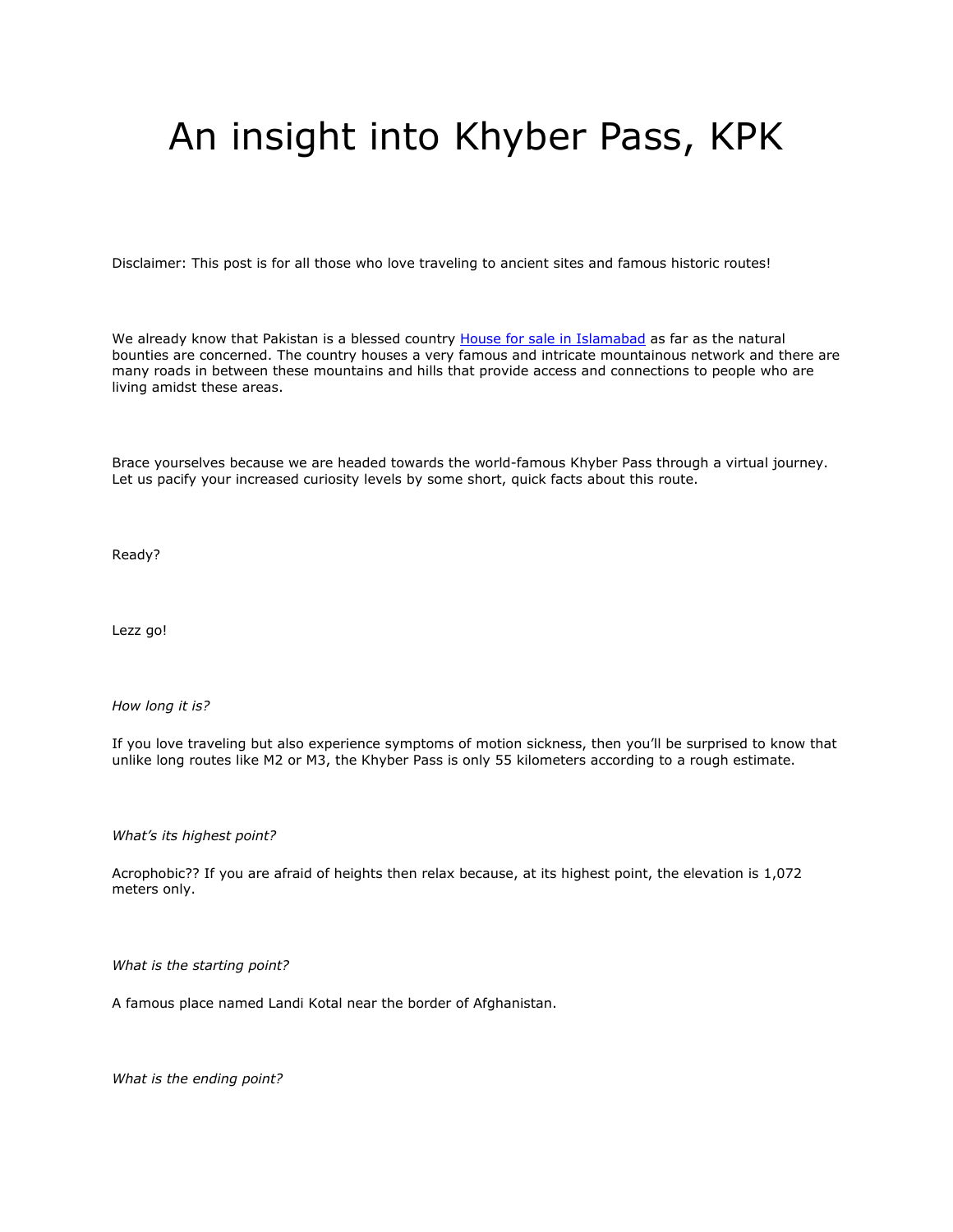## An insight into Khyber Pass, KPK

Disclaimer: This post is for all those who love traveling to ancient sites and famous historic routes!

We already know that Pakistan is a blessed country **[House for sale in Islamabad](https://gharbaar.com/sale/Homes-House/Islamabad-11-1)** as far as the natural bounties are concerned. The country houses a very famous and intricate mountainous network and there are many roads in between these mountains and hills that provide access and connections to people who are living amidst these areas.

Brace yourselves because we are headed towards the world-famous Khyber Pass through a virtual journey. Let us pacify your increased curiosity levels by some short, quick facts about this route.

Ready?

Lezz go!

*How long it is?*

If you love traveling but also experience symptoms of motion sickness, then you'll be surprised to know that unlike long routes like M2 or M3, the Khyber Pass is only 55 kilometers according to a rough estimate.

*What's its highest point?*

Acrophobic?? If you are afraid of heights then relax because, at its highest point, the elevation is 1,072 meters only.

*What is the starting point?*

A famous place named Landi Kotal near the border of Afghanistan.

*What is the ending point?*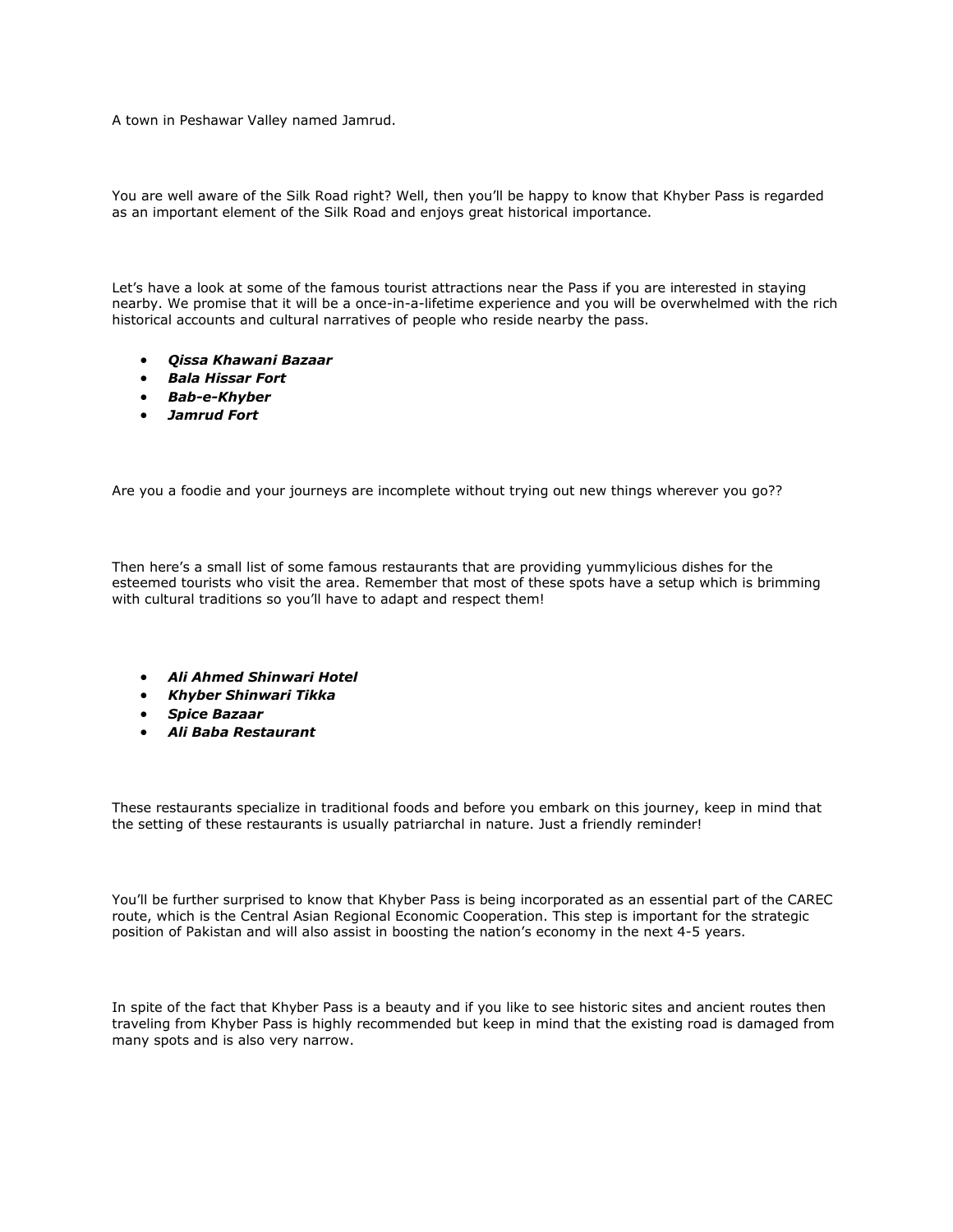A town in Peshawar Valley named Jamrud.

You are well aware of the Silk Road right? Well, then you'll be happy to know that Khyber Pass is regarded as an important element of the Silk Road and enjoys great historical importance.

Let's have a look at some of the famous tourist attractions near the Pass if you are interested in staying nearby. We promise that it will be a once-in-a-lifetime experience and you will be overwhelmed with the rich historical accounts and cultural narratives of people who reside nearby the pass.

- *Qissa Khawani Bazaar*
- *Bala Hissar Fort*
- *Bab-e-Khyber*
- *Jamrud Fort*

Are you a foodie and your journeys are incomplete without trying out new things wherever you go??

Then here's a small list of some famous restaurants that are providing yummylicious dishes for the esteemed tourists who visit the area. Remember that most of these spots have a setup which is brimming with cultural traditions so you'll have to adapt and respect them!

- *Ali Ahmed Shinwari Hotel*
- *Khyber Shinwari Tikka*
- *Spice Bazaar*
- *Ali Baba Restaurant*

These restaurants specialize in traditional foods and before you embark on this journey, keep in mind that the setting of these restaurants is usually patriarchal in nature. Just a friendly reminder!

You'll be further surprised to know that Khyber Pass is being incorporated as an essential part of the CAREC route, which is the Central Asian Regional Economic Cooperation. This step is important for the strategic position of Pakistan and will also assist in boosting the nation's economy in the next 4-5 years.

In spite of the fact that Khyber Pass is a beauty and if you like to see historic sites and ancient routes then traveling from Khyber Pass is highly recommended but keep in mind that the existing road is damaged from many spots and is also very narrow.